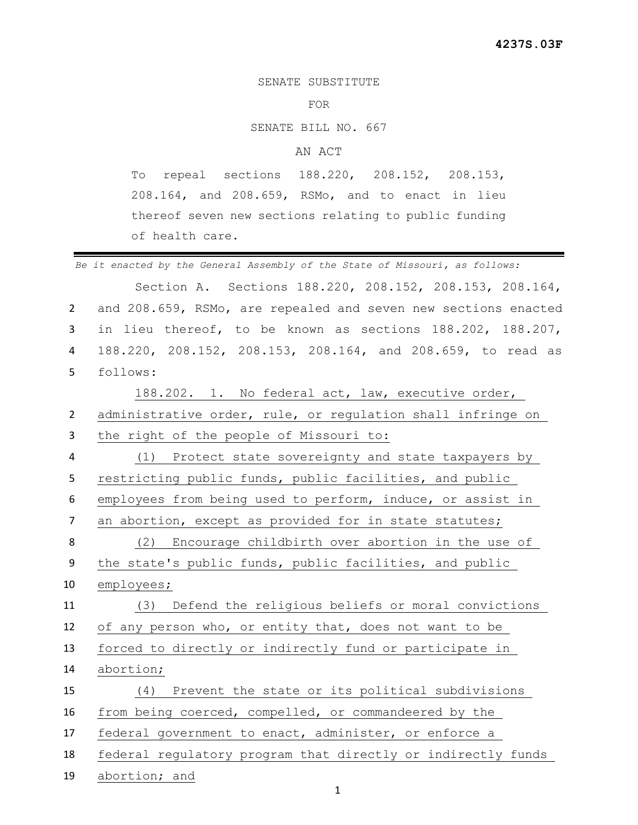SENATE SUBSTITUTE

## FOR

SENATE BILL NO. 667

## AN ACT

To repeal sections 188.220, 208.152, 208.153, 208.164, and 208.659, RSMo, and to enact in lieu thereof seven new sections relating to public funding of health care.

 *Be it enacted by the General Assembly of the State of Missouri, as follows:* Section A. Sections 188.220, 208.152, 208.153, 208.164, and 208.659, RSMo, are repealed and seven new sections enacted in lieu thereof, to be known as sections 188.202, 188.207, 188.220, 208.152, 208.153, 208.164, and 208.659, to read as follows: 188.202. 1. No federal act, law, executive order, administrative order, rule, or regulation shall infringe on the right of the people of Missouri to: (1) Protect state sovereignty and state taxpayers by restricting public funds, public facilities, and public employees from being used to perform, induce, or assist in 7 an abortion, except as provided for in state statutes; (2) Encourage childbirth over abortion in the use of the state's public funds, public facilities, and public employees; (3) Defend the religious beliefs or moral convictions of any person who, or entity that, does not want to be forced to directly or indirectly fund or participate in abortion; (4) Prevent the state or its political subdivisions from being coerced, compelled, or commandeered by the federal government to enact, administer, or enforce a federal regulatory program that directly or indirectly funds abortion; and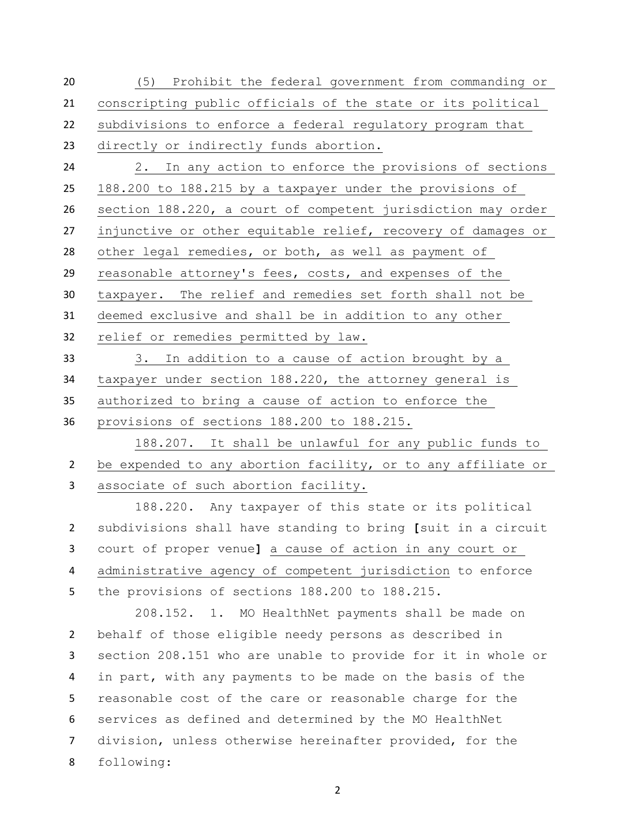(5) Prohibit the federal government from commanding or conscripting public officials of the state or its political subdivisions to enforce a federal regulatory program that directly or indirectly funds abortion. 2. In any action to enforce the provisions of sections 188.200 to 188.215 by a taxpayer under the provisions of section 188.220, a court of competent jurisdiction may order

injunctive or other equitable relief, recovery of damages or

other legal remedies, or both, as well as payment of

reasonable attorney's fees, costs, and expenses of the

taxpayer. The relief and remedies set forth shall not be

deemed exclusive and shall be in addition to any other

relief or remedies permitted by law.

 3. In addition to a cause of action brought by a taxpayer under section 188.220, the attorney general is authorized to bring a cause of action to enforce the provisions of sections 188.200 to 188.215.

 188.207. It shall be unlawful for any public funds to 2 be expended to any abortion facility, or to any affiliate or associate of such abortion facility.

 188.220. Any taxpayer of this state or its political subdivisions shall have standing to bring **[**suit in a circuit court of proper venue**]** a cause of action in any court or administrative agency of competent jurisdiction to enforce the provisions of sections 188.200 to 188.215.

208.152. 1. MO HealthNet payments shall be made on behalf of those eligible needy persons as described in section 208.151 who are unable to provide for it in whole or in part, with any payments to be made on the basis of the reasonable cost of the care or reasonable charge for the services as defined and determined by the MO HealthNet division, unless otherwise hereinafter provided, for the following: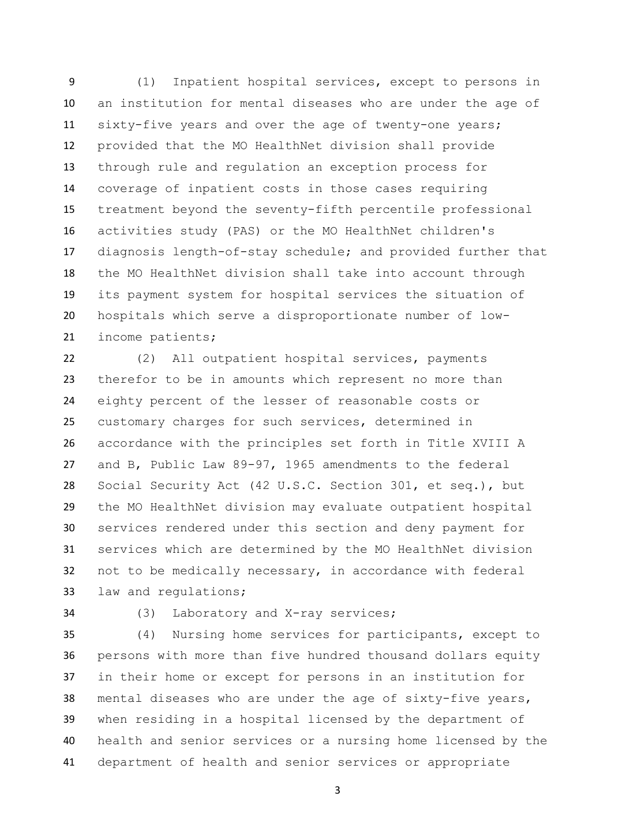(1) Inpatient hospital services, except to persons in an institution for mental diseases who are under the age of sixty-five years and over the age of twenty-one years; provided that the MO HealthNet division shall provide through rule and regulation an exception process for coverage of inpatient costs in those cases requiring treatment beyond the seventy-fifth percentile professional activities study (PAS) or the MO HealthNet children's diagnosis length-of-stay schedule; and provided further that the MO HealthNet division shall take into account through its payment system for hospital services the situation of hospitals which serve a disproportionate number of low-income patients;

 (2) All outpatient hospital services, payments therefor to be in amounts which represent no more than eighty percent of the lesser of reasonable costs or customary charges for such services, determined in accordance with the principles set forth in Title XVIII A and B, Public Law 89-97, 1965 amendments to the federal Social Security Act (42 U.S.C. Section 301, et seq.), but the MO HealthNet division may evaluate outpatient hospital services rendered under this section and deny payment for services which are determined by the MO HealthNet division not to be medically necessary, in accordance with federal law and regulations;

## (3) Laboratory and X-ray services;

 (4) Nursing home services for participants, except to persons with more than five hundred thousand dollars equity in their home or except for persons in an institution for mental diseases who are under the age of sixty-five years, when residing in a hospital licensed by the department of health and senior services or a nursing home licensed by the department of health and senior services or appropriate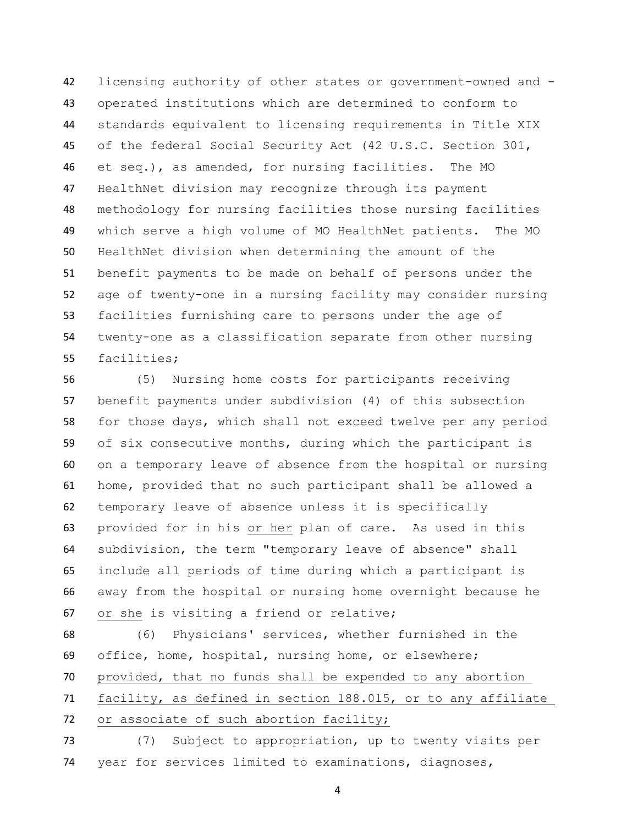licensing authority of other states or government-owned and - operated institutions which are determined to conform to standards equivalent to licensing requirements in Title XIX of the federal Social Security Act (42 U.S.C. Section 301, et seq.), as amended, for nursing facilities. The MO HealthNet division may recognize through its payment methodology for nursing facilities those nursing facilities which serve a high volume of MO HealthNet patients. The MO HealthNet division when determining the amount of the benefit payments to be made on behalf of persons under the age of twenty-one in a nursing facility may consider nursing facilities furnishing care to persons under the age of twenty-one as a classification separate from other nursing facilities;

 (5) Nursing home costs for participants receiving benefit payments under subdivision (4) of this subsection for those days, which shall not exceed twelve per any period of six consecutive months, during which the participant is on a temporary leave of absence from the hospital or nursing home, provided that no such participant shall be allowed a temporary leave of absence unless it is specifically provided for in his or her plan of care. As used in this subdivision, the term "temporary leave of absence" shall include all periods of time during which a participant is away from the hospital or nursing home overnight because he or she is visiting a friend or relative;

 (6) Physicians' services, whether furnished in the office, home, hospital, nursing home, or elsewhere; provided, that no funds shall be expended to any abortion facility, as defined in section 188.015, or to any affiliate 72 or associate of such abortion facility;

 (7) Subject to appropriation, up to twenty visits per year for services limited to examinations, diagnoses,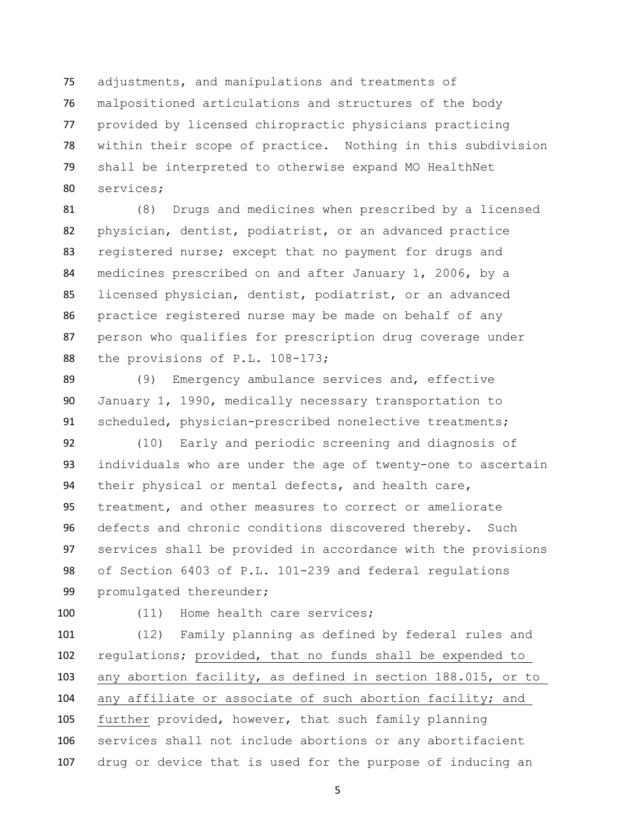adjustments, and manipulations and treatments of malpositioned articulations and structures of the body provided by licensed chiropractic physicians practicing within their scope of practice. Nothing in this subdivision shall be interpreted to otherwise expand MO HealthNet services;

 (8) Drugs and medicines when prescribed by a licensed physician, dentist, podiatrist, or an advanced practice registered nurse; except that no payment for drugs and medicines prescribed on and after January 1, 2006, by a licensed physician, dentist, podiatrist, or an advanced practice registered nurse may be made on behalf of any person who qualifies for prescription drug coverage under 88 the provisions of P.L. 108-173;

 (9) Emergency ambulance services and, effective January 1, 1990, medically necessary transportation to scheduled, physician-prescribed nonelective treatments;

 (10) Early and periodic screening and diagnosis of individuals who are under the age of twenty-one to ascertain their physical or mental defects, and health care, treatment, and other measures to correct or ameliorate defects and chronic conditions discovered thereby. Such services shall be provided in accordance with the provisions of Section 6403 of P.L. 101-239 and federal regulations promulgated thereunder;

100 (11) Home health care services;

 (12) Family planning as defined by federal rules and regulations; provided, that no funds shall be expended to any abortion facility, as defined in section 188.015, or to any affiliate or associate of such abortion facility; and further provided, however, that such family planning services shall not include abortions or any abortifacient drug or device that is used for the purpose of inducing an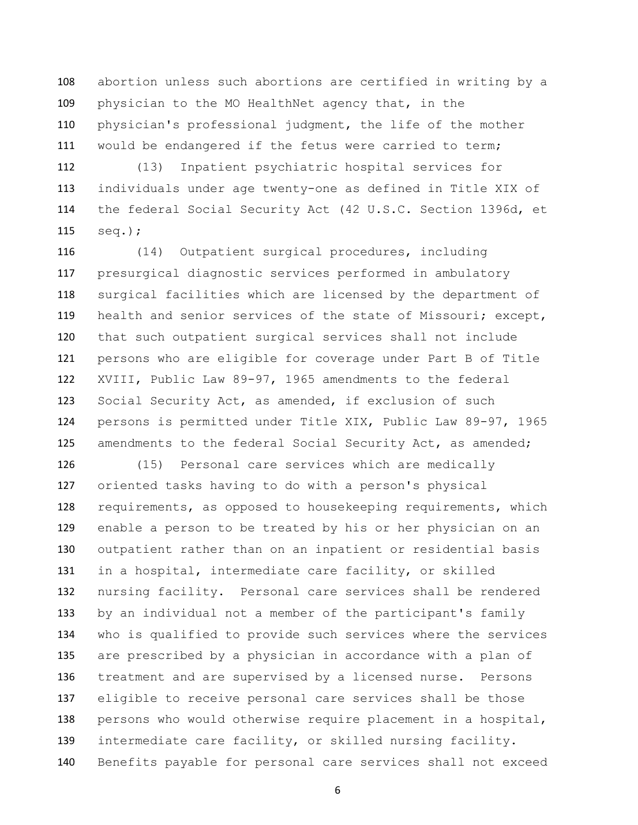abortion unless such abortions are certified in writing by a physician to the MO HealthNet agency that, in the physician's professional judgment, the life of the mother would be endangered if the fetus were carried to term;

 (13) Inpatient psychiatric hospital services for individuals under age twenty-one as defined in Title XIX of the federal Social Security Act (42 U.S.C. Section 1396d, et seq.);

 (14) Outpatient surgical procedures, including presurgical diagnostic services performed in ambulatory surgical facilities which are licensed by the department of 119 health and senior services of the state of Missouri; except, that such outpatient surgical services shall not include persons who are eligible for coverage under Part B of Title XVIII, Public Law 89-97, 1965 amendments to the federal Social Security Act, as amended, if exclusion of such persons is permitted under Title XIX, Public Law 89-97, 1965 125 amendments to the federal Social Security Act, as amended;

 (15) Personal care services which are medically oriented tasks having to do with a person's physical requirements, as opposed to housekeeping requirements, which enable a person to be treated by his or her physician on an outpatient rather than on an inpatient or residential basis in a hospital, intermediate care facility, or skilled nursing facility. Personal care services shall be rendered by an individual not a member of the participant's family who is qualified to provide such services where the services are prescribed by a physician in accordance with a plan of treatment and are supervised by a licensed nurse. Persons eligible to receive personal care services shall be those persons who would otherwise require placement in a hospital, intermediate care facility, or skilled nursing facility. Benefits payable for personal care services shall not exceed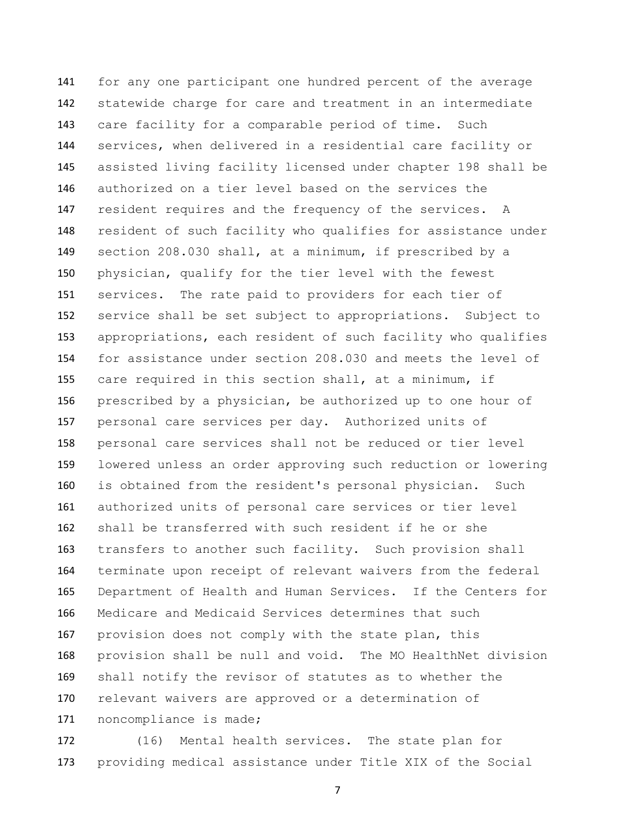for any one participant one hundred percent of the average statewide charge for care and treatment in an intermediate care facility for a comparable period of time. Such services, when delivered in a residential care facility or assisted living facility licensed under chapter 198 shall be authorized on a tier level based on the services the resident requires and the frequency of the services. A resident of such facility who qualifies for assistance under section 208.030 shall, at a minimum, if prescribed by a physician, qualify for the tier level with the fewest services. The rate paid to providers for each tier of service shall be set subject to appropriations. Subject to appropriations, each resident of such facility who qualifies for assistance under section 208.030 and meets the level of care required in this section shall, at a minimum, if prescribed by a physician, be authorized up to one hour of personal care services per day. Authorized units of personal care services shall not be reduced or tier level lowered unless an order approving such reduction or lowering is obtained from the resident's personal physician. Such authorized units of personal care services or tier level shall be transferred with such resident if he or she transfers to another such facility. Such provision shall terminate upon receipt of relevant waivers from the federal Department of Health and Human Services. If the Centers for Medicare and Medicaid Services determines that such provision does not comply with the state plan, this provision shall be null and void. The MO HealthNet division shall notify the revisor of statutes as to whether the 170 relevant waivers are approved or a determination of noncompliance is made;

 (16) Mental health services. The state plan for providing medical assistance under Title XIX of the Social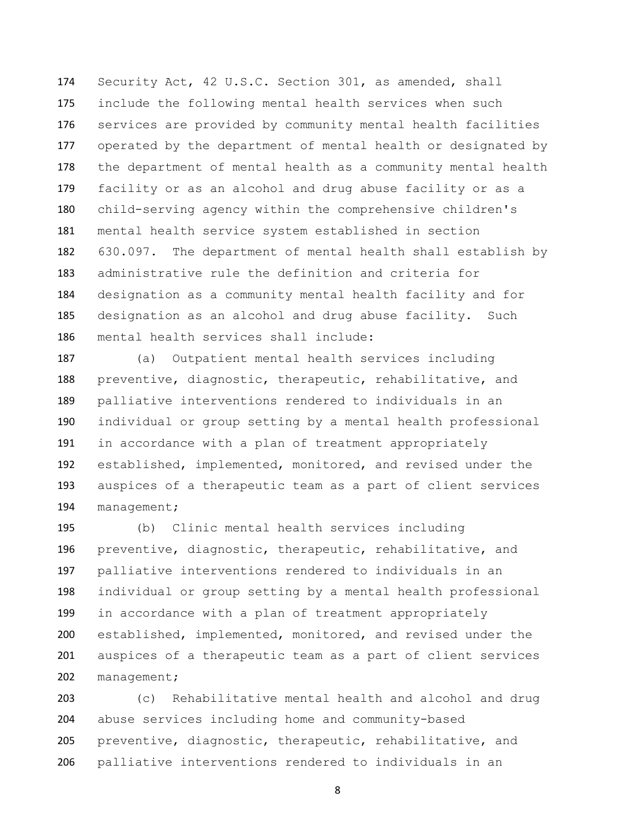Security Act, 42 U.S.C. Section 301, as amended, shall include the following mental health services when such services are provided by community mental health facilities operated by the department of mental health or designated by the department of mental health as a community mental health facility or as an alcohol and drug abuse facility or as a child-serving agency within the comprehensive children's mental health service system established in section 630.097. The department of mental health shall establish by administrative rule the definition and criteria for designation as a community mental health facility and for designation as an alcohol and drug abuse facility. Such mental health services shall include:

 (a) Outpatient mental health services including preventive, diagnostic, therapeutic, rehabilitative, and palliative interventions rendered to individuals in an individual or group setting by a mental health professional in accordance with a plan of treatment appropriately established, implemented, monitored, and revised under the auspices of a therapeutic team as a part of client services management;

 (b) Clinic mental health services including preventive, diagnostic, therapeutic, rehabilitative, and palliative interventions rendered to individuals in an individual or group setting by a mental health professional in accordance with a plan of treatment appropriately established, implemented, monitored, and revised under the auspices of a therapeutic team as a part of client services management;

 (c) Rehabilitative mental health and alcohol and drug abuse services including home and community-based preventive, diagnostic, therapeutic, rehabilitative, and palliative interventions rendered to individuals in an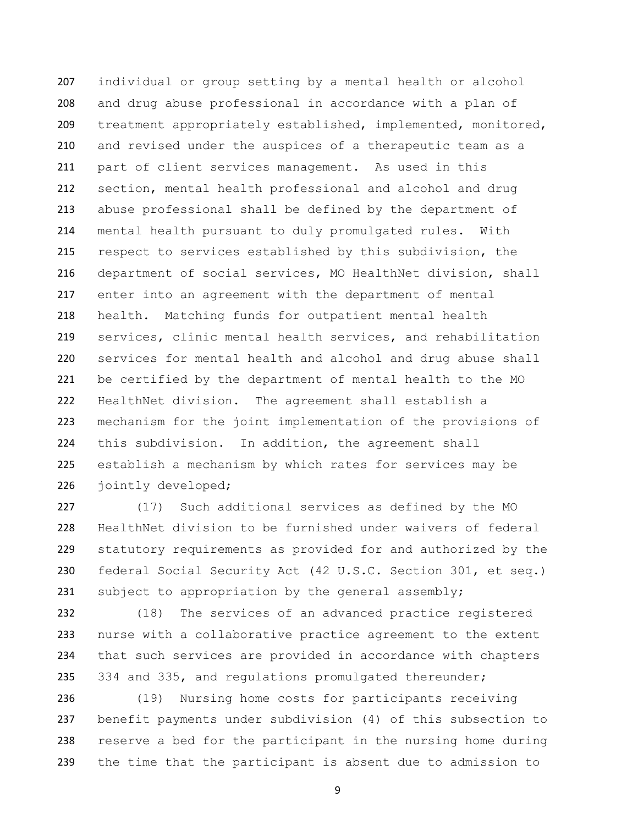individual or group setting by a mental health or alcohol and drug abuse professional in accordance with a plan of treatment appropriately established, implemented, monitored, and revised under the auspices of a therapeutic team as a part of client services management. As used in this section, mental health professional and alcohol and drug abuse professional shall be defined by the department of mental health pursuant to duly promulgated rules. With respect to services established by this subdivision, the department of social services, MO HealthNet division, shall enter into an agreement with the department of mental health. Matching funds for outpatient mental health services, clinic mental health services, and rehabilitation services for mental health and alcohol and drug abuse shall be certified by the department of mental health to the MO HealthNet division. The agreement shall establish a mechanism for the joint implementation of the provisions of this subdivision. In addition, the agreement shall establish a mechanism by which rates for services may be jointly developed;

 (17) Such additional services as defined by the MO HealthNet division to be furnished under waivers of federal statutory requirements as provided for and authorized by the federal Social Security Act (42 U.S.C. Section 301, et seq.) 231 subject to appropriation by the general assembly;

 (18) The services of an advanced practice registered nurse with a collaborative practice agreement to the extent that such services are provided in accordance with chapters 334 and 335, and regulations promulgated thereunder;

 (19) Nursing home costs for participants receiving benefit payments under subdivision (4) of this subsection to reserve a bed for the participant in the nursing home during the time that the participant is absent due to admission to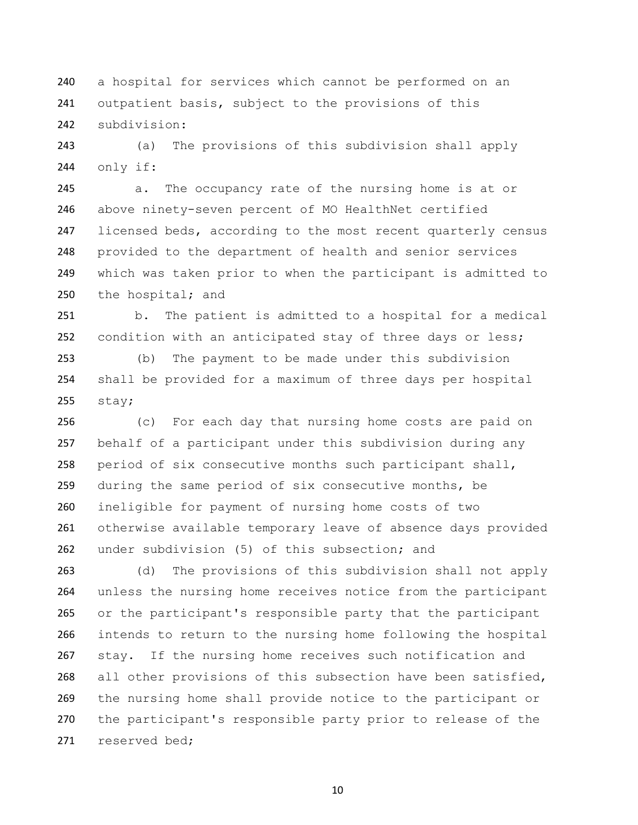a hospital for services which cannot be performed on an 241 outpatient basis, subject to the provisions of this subdivision:

 (a) The provisions of this subdivision shall apply only if:

 a. The occupancy rate of the nursing home is at or above ninety-seven percent of MO HealthNet certified 247 licensed beds, according to the most recent quarterly census provided to the department of health and senior services which was taken prior to when the participant is admitted to 250 the hospital; and

 b. The patient is admitted to a hospital for a medical condition with an anticipated stay of three days or less;

 (b) The payment to be made under this subdivision shall be provided for a maximum of three days per hospital stay;

 (c) For each day that nursing home costs are paid on behalf of a participant under this subdivision during any period of six consecutive months such participant shall, during the same period of six consecutive months, be ineligible for payment of nursing home costs of two otherwise available temporary leave of absence days provided 262 under subdivision (5) of this subsection; and

 (d) The provisions of this subdivision shall not apply unless the nursing home receives notice from the participant or the participant's responsible party that the participant intends to return to the nursing home following the hospital stay. If the nursing home receives such notification and all other provisions of this subsection have been satisfied, the nursing home shall provide notice to the participant or the participant's responsible party prior to release of the reserved bed;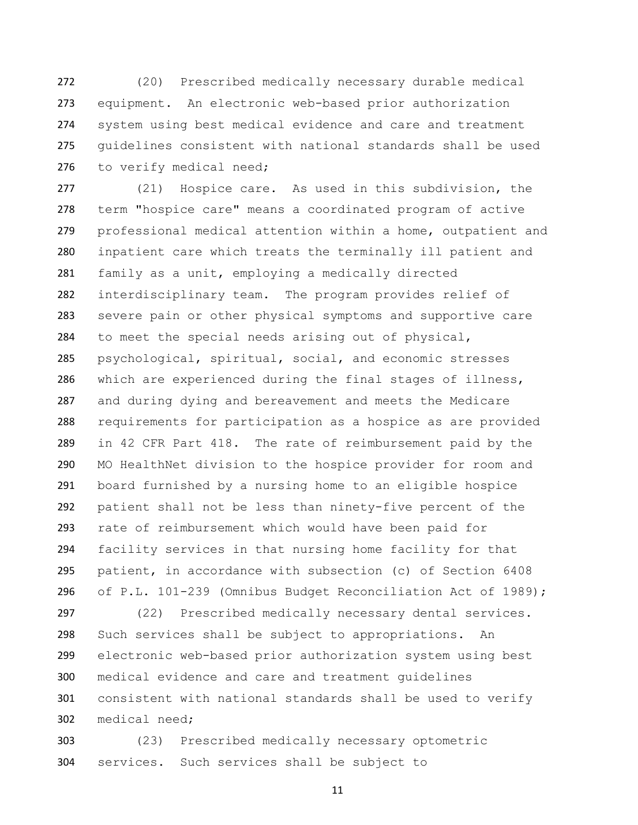(20) Prescribed medically necessary durable medical equipment. An electronic web-based prior authorization system using best medical evidence and care and treatment guidelines consistent with national standards shall be used 276 to verify medical need;

 (21) Hospice care. As used in this subdivision, the term "hospice care" means a coordinated program of active professional medical attention within a home, outpatient and inpatient care which treats the terminally ill patient and family as a unit, employing a medically directed interdisciplinary team. The program provides relief of severe pain or other physical symptoms and supportive care to meet the special needs arising out of physical, psychological, spiritual, social, and economic stresses which are experienced during the final stages of illness, and during dying and bereavement and meets the Medicare requirements for participation as a hospice as are provided in 42 CFR Part 418. The rate of reimbursement paid by the MO HealthNet division to the hospice provider for room and board furnished by a nursing home to an eligible hospice patient shall not be less than ninety-five percent of the rate of reimbursement which would have been paid for facility services in that nursing home facility for that patient, in accordance with subsection (c) of Section 6408 of P.L. 101-239 (Omnibus Budget Reconciliation Act of 1989);

 (22) Prescribed medically necessary dental services. Such services shall be subject to appropriations. An electronic web-based prior authorization system using best medical evidence and care and treatment guidelines consistent with national standards shall be used to verify medical need;

 (23) Prescribed medically necessary optometric services. Such services shall be subject to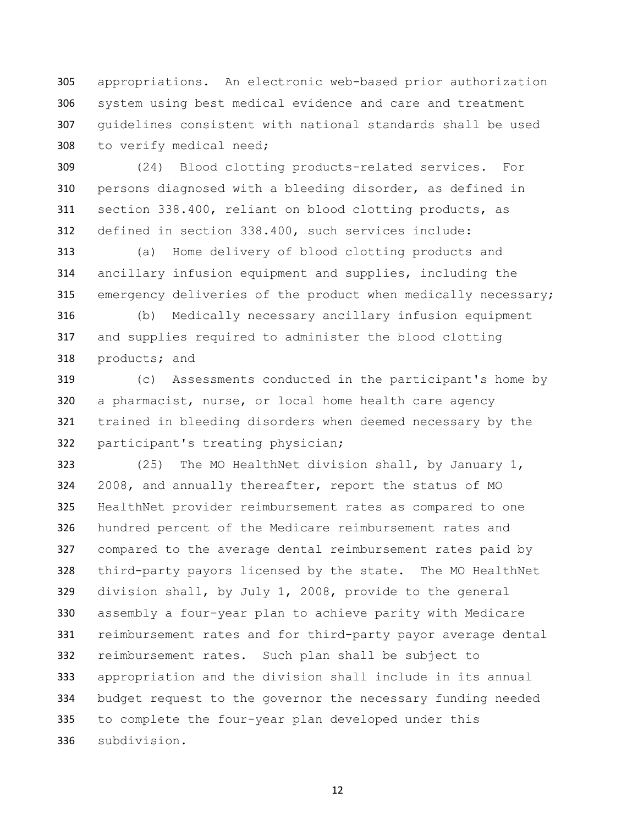appropriations. An electronic web-based prior authorization system using best medical evidence and care and treatment guidelines consistent with national standards shall be used to verify medical need;

 (24) Blood clotting products-related services. For persons diagnosed with a bleeding disorder, as defined in section 338.400, reliant on blood clotting products, as defined in section 338.400, such services include:

 (a) Home delivery of blood clotting products and ancillary infusion equipment and supplies, including the emergency deliveries of the product when medically necessary;

 (b) Medically necessary ancillary infusion equipment and supplies required to administer the blood clotting products; and

 (c) Assessments conducted in the participant's home by a pharmacist, nurse, or local home health care agency trained in bleeding disorders when deemed necessary by the participant's treating physician;

 (25) The MO HealthNet division shall, by January 1, 2008, and annually thereafter, report the status of MO HealthNet provider reimbursement rates as compared to one hundred percent of the Medicare reimbursement rates and compared to the average dental reimbursement rates paid by third-party payors licensed by the state. The MO HealthNet division shall, by July 1, 2008, provide to the general assembly a four-year plan to achieve parity with Medicare reimbursement rates and for third-party payor average dental reimbursement rates. Such plan shall be subject to appropriation and the division shall include in its annual budget request to the governor the necessary funding needed to complete the four-year plan developed under this subdivision.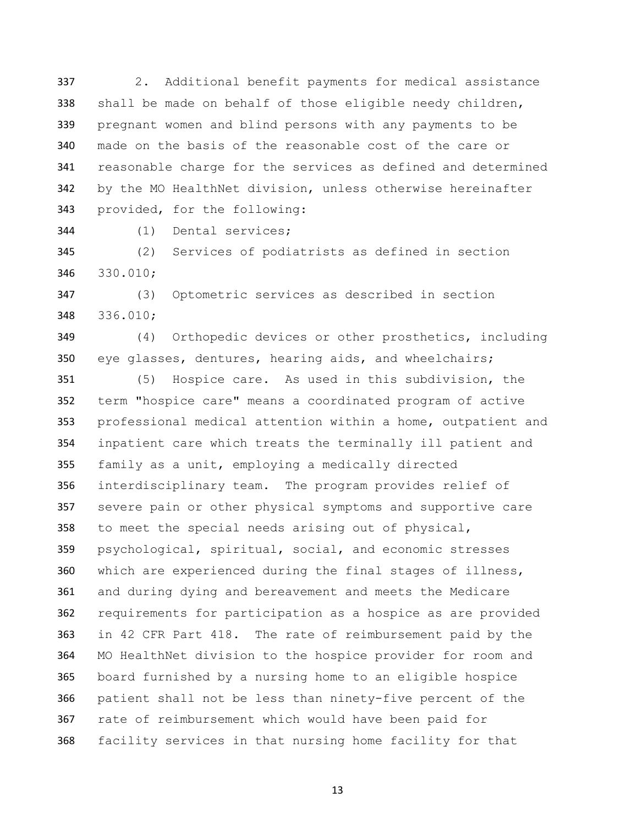2. Additional benefit payments for medical assistance shall be made on behalf of those eligible needy children, pregnant women and blind persons with any payments to be made on the basis of the reasonable cost of the care or reasonable charge for the services as defined and determined by the MO HealthNet division, unless otherwise hereinafter provided, for the following:

(1) Dental services;

 (2) Services of podiatrists as defined in section 330.010;

 (3) Optometric services as described in section 336.010;

 (4) Orthopedic devices or other prosthetics, including eye glasses, dentures, hearing aids, and wheelchairs;

 (5) Hospice care. As used in this subdivision, the term "hospice care" means a coordinated program of active professional medical attention within a home, outpatient and inpatient care which treats the terminally ill patient and family as a unit, employing a medically directed interdisciplinary team. The program provides relief of severe pain or other physical symptoms and supportive care to meet the special needs arising out of physical, psychological, spiritual, social, and economic stresses which are experienced during the final stages of illness, and during dying and bereavement and meets the Medicare requirements for participation as a hospice as are provided in 42 CFR Part 418. The rate of reimbursement paid by the MO HealthNet division to the hospice provider for room and board furnished by a nursing home to an eligible hospice patient shall not be less than ninety-five percent of the rate of reimbursement which would have been paid for facility services in that nursing home facility for that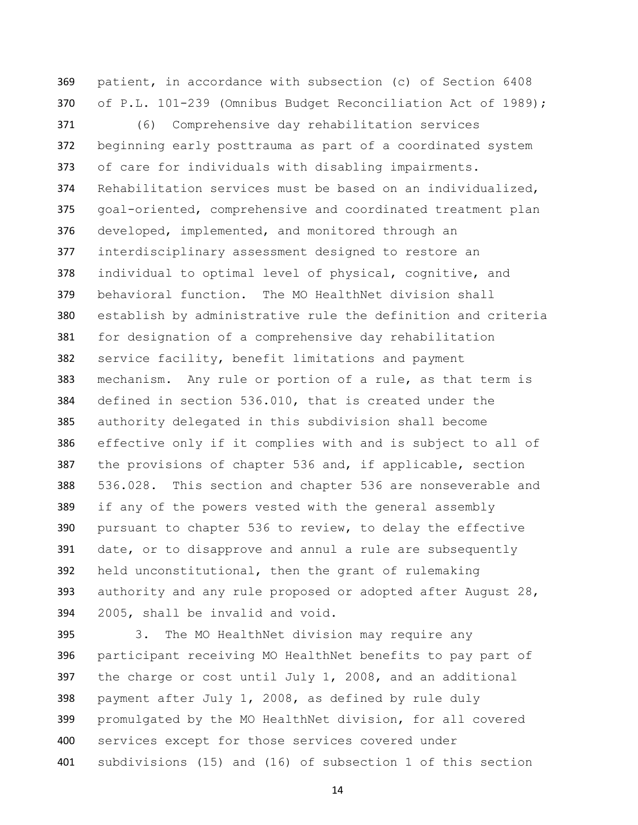patient, in accordance with subsection (c) of Section 6408 of P.L. 101-239 (Omnibus Budget Reconciliation Act of 1989);

 (6) Comprehensive day rehabilitation services beginning early posttrauma as part of a coordinated system of care for individuals with disabling impairments. Rehabilitation services must be based on an individualized, goal-oriented, comprehensive and coordinated treatment plan developed, implemented, and monitored through an interdisciplinary assessment designed to restore an individual to optimal level of physical, cognitive, and behavioral function. The MO HealthNet division shall establish by administrative rule the definition and criteria for designation of a comprehensive day rehabilitation service facility, benefit limitations and payment mechanism. Any rule or portion of a rule, as that term is defined in section 536.010, that is created under the authority delegated in this subdivision shall become effective only if it complies with and is subject to all of 387 the provisions of chapter 536 and, if applicable, section 536.028. This section and chapter 536 are nonseverable and if any of the powers vested with the general assembly pursuant to chapter 536 to review, to delay the effective date, or to disapprove and annul a rule are subsequently held unconstitutional, then the grant of rulemaking 393 authority and any rule proposed or adopted after August 28, 2005, shall be invalid and void.

 3. The MO HealthNet division may require any participant receiving MO HealthNet benefits to pay part of the charge or cost until July 1, 2008, and an additional payment after July 1, 2008, as defined by rule duly promulgated by the MO HealthNet division, for all covered services except for those services covered under subdivisions (15) and (16) of subsection 1 of this section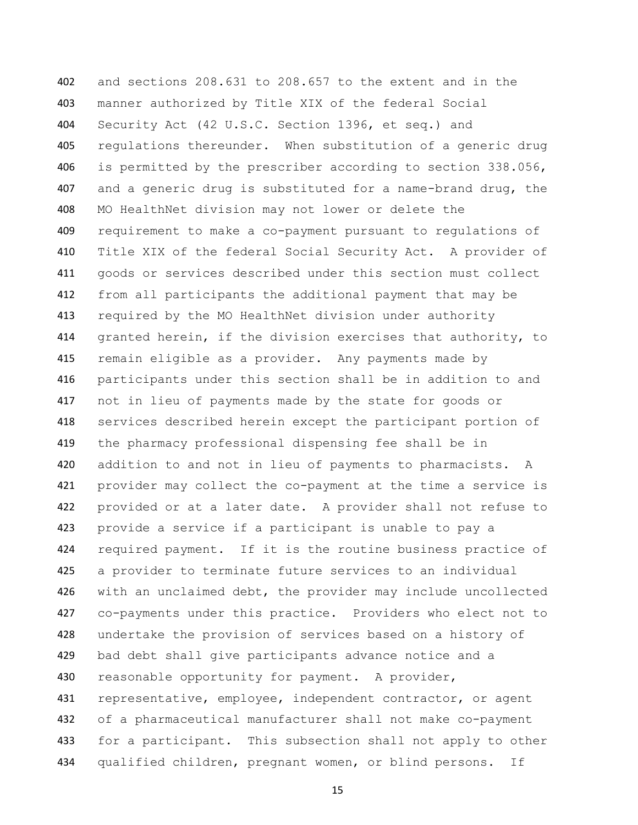and sections 208.631 to 208.657 to the extent and in the manner authorized by Title XIX of the federal Social Security Act (42 U.S.C. Section 1396, et seq.) and regulations thereunder. When substitution of a generic drug is permitted by the prescriber according to section 338.056, and a generic drug is substituted for a name-brand drug, the MO HealthNet division may not lower or delete the requirement to make a co-payment pursuant to regulations of Title XIX of the federal Social Security Act. A provider of goods or services described under this section must collect from all participants the additional payment that may be required by the MO HealthNet division under authority granted herein, if the division exercises that authority, to remain eligible as a provider. Any payments made by participants under this section shall be in addition to and not in lieu of payments made by the state for goods or services described herein except the participant portion of the pharmacy professional dispensing fee shall be in 420 addition to and not in lieu of payments to pharmacists. A provider may collect the co-payment at the time a service is provided or at a later date. A provider shall not refuse to provide a service if a participant is unable to pay a required payment. If it is the routine business practice of a provider to terminate future services to an individual with an unclaimed debt, the provider may include uncollected co-payments under this practice. Providers who elect not to undertake the provision of services based on a history of bad debt shall give participants advance notice and a 430 reasonable opportunity for payment. A provider, 431 representative, employee, independent contractor, or agent of a pharmaceutical manufacturer shall not make co-payment 433 for a participant. This subsection shall not apply to other 434 qualified children, pregnant women, or blind persons. If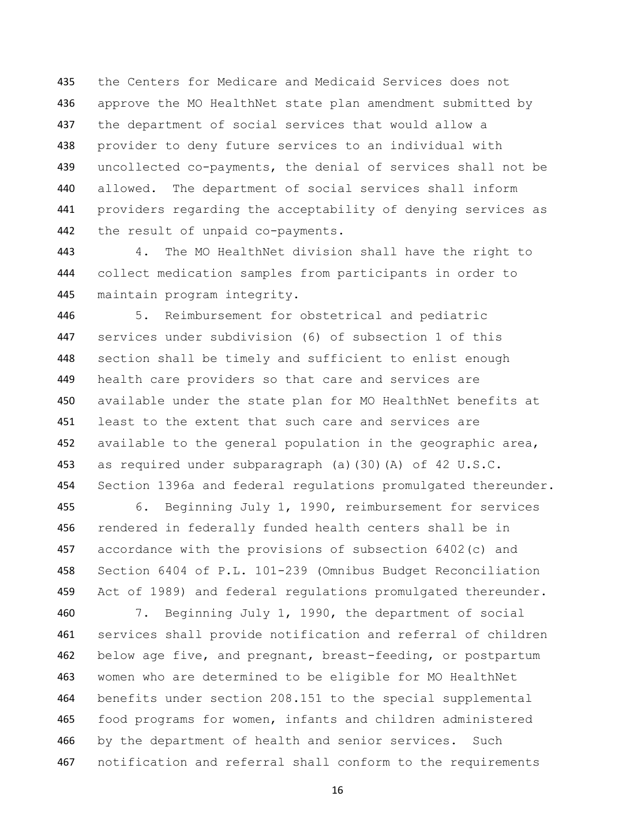the Centers for Medicare and Medicaid Services does not approve the MO HealthNet state plan amendment submitted by the department of social services that would allow a provider to deny future services to an individual with uncollected co-payments, the denial of services shall not be allowed. The department of social services shall inform providers regarding the acceptability of denying services as the result of unpaid co-payments.

 4. The MO HealthNet division shall have the right to collect medication samples from participants in order to maintain program integrity.

 5. Reimbursement for obstetrical and pediatric services under subdivision (6) of subsection 1 of this section shall be timely and sufficient to enlist enough health care providers so that care and services are available under the state plan for MO HealthNet benefits at least to the extent that such care and services are 452 available to the general population in the geographic area, as required under subparagraph (a)(30)(A) of 42 U.S.C. 454 Section 1396a and federal regulations promulgated thereunder.

 6. Beginning July 1, 1990, reimbursement for services rendered in federally funded health centers shall be in accordance with the provisions of subsection 6402(c) and Section 6404 of P.L. 101-239 (Omnibus Budget Reconciliation 459 Act of 1989) and federal regulations promulgated thereunder.

 7. Beginning July 1, 1990, the department of social services shall provide notification and referral of children below age five, and pregnant, breast-feeding, or postpartum women who are determined to be eligible for MO HealthNet benefits under section 208.151 to the special supplemental food programs for women, infants and children administered 466 by the department of health and senior services. Such notification and referral shall conform to the requirements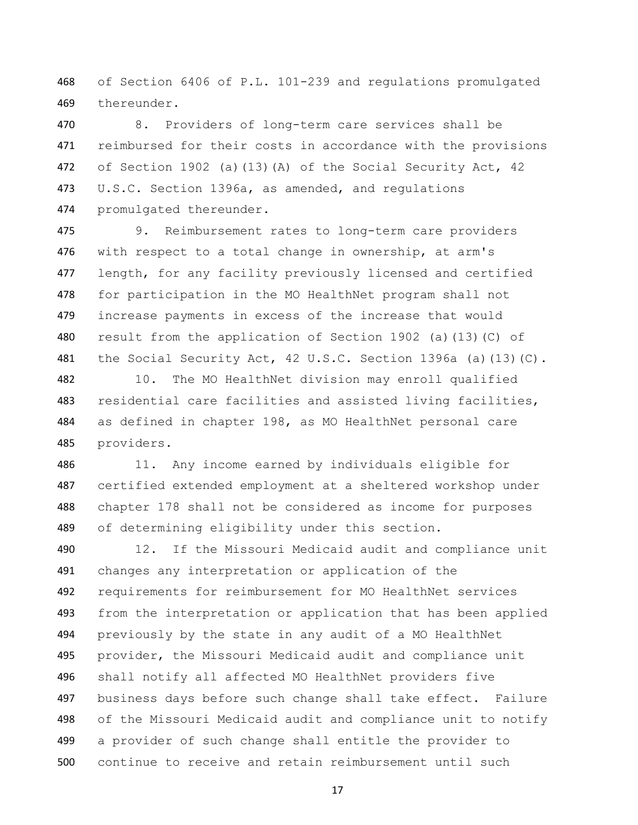of Section 6406 of P.L. 101-239 and regulations promulgated thereunder.

 8. Providers of long-term care services shall be reimbursed for their costs in accordance with the provisions 472 of Section 1902 (a)(13)(A) of the Social Security Act, 42 U.S.C. Section 1396a, as amended, and regulations promulgated thereunder.

 9. Reimbursement rates to long-term care providers 476 with respect to a total change in ownership, at arm's 477 length, for any facility previously licensed and certified for participation in the MO HealthNet program shall not increase payments in excess of the increase that would 480 result from the application of Section 1902 (a)(13)(C) of 481 the Social Security Act, 42 U.S.C. Section 1396a (a)(13)(C).

 10. The MO HealthNet division may enroll qualified residential care facilities and assisted living facilities, as defined in chapter 198, as MO HealthNet personal care providers.

 11. Any income earned by individuals eligible for certified extended employment at a sheltered workshop under chapter 178 shall not be considered as income for purposes of determining eligibility under this section.

 12. If the Missouri Medicaid audit and compliance unit changes any interpretation or application of the requirements for reimbursement for MO HealthNet services from the interpretation or application that has been applied previously by the state in any audit of a MO HealthNet provider, the Missouri Medicaid audit and compliance unit shall notify all affected MO HealthNet providers five business days before such change shall take effect. Failure of the Missouri Medicaid audit and compliance unit to notify a provider of such change shall entitle the provider to continue to receive and retain reimbursement until such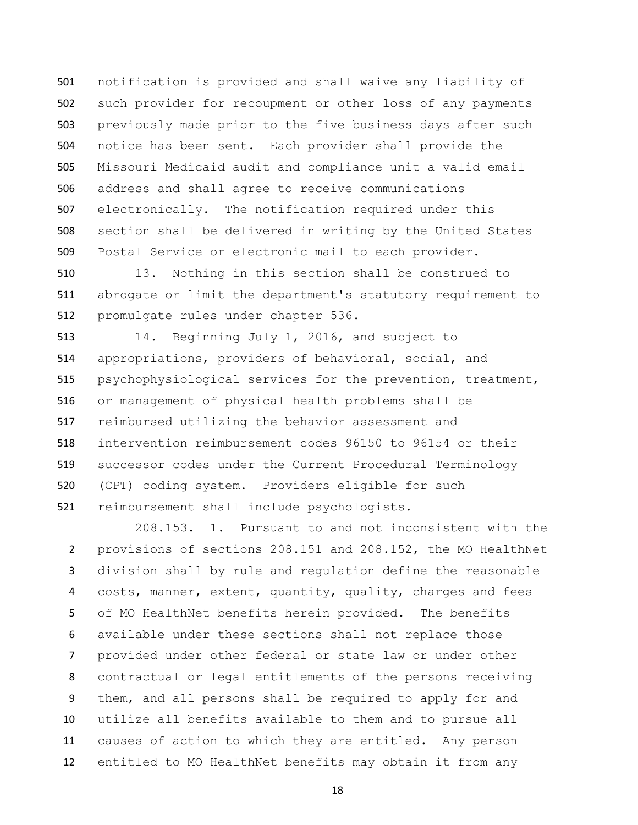notification is provided and shall waive any liability of such provider for recoupment or other loss of any payments previously made prior to the five business days after such notice has been sent. Each provider shall provide the Missouri Medicaid audit and compliance unit a valid email address and shall agree to receive communications electronically. The notification required under this section shall be delivered in writing by the United States Postal Service or electronic mail to each provider.

 13. Nothing in this section shall be construed to abrogate or limit the department's statutory requirement to promulgate rules under chapter 536.

 14. Beginning July 1, 2016, and subject to appropriations, providers of behavioral, social, and psychophysiological services for the prevention, treatment, or management of physical health problems shall be reimbursed utilizing the behavior assessment and intervention reimbursement codes 96150 to 96154 or their successor codes under the Current Procedural Terminology (CPT) coding system. Providers eligible for such reimbursement shall include psychologists.

208.153. 1. Pursuant to and not inconsistent with the provisions of sections 208.151 and 208.152, the MO HealthNet division shall by rule and regulation define the reasonable costs, manner, extent, quantity, quality, charges and fees of MO HealthNet benefits herein provided. The benefits available under these sections shall not replace those provided under other federal or state law or under other contractual or legal entitlements of the persons receiving them, and all persons shall be required to apply for and utilize all benefits available to them and to pursue all causes of action to which they are entitled. Any person entitled to MO HealthNet benefits may obtain it from any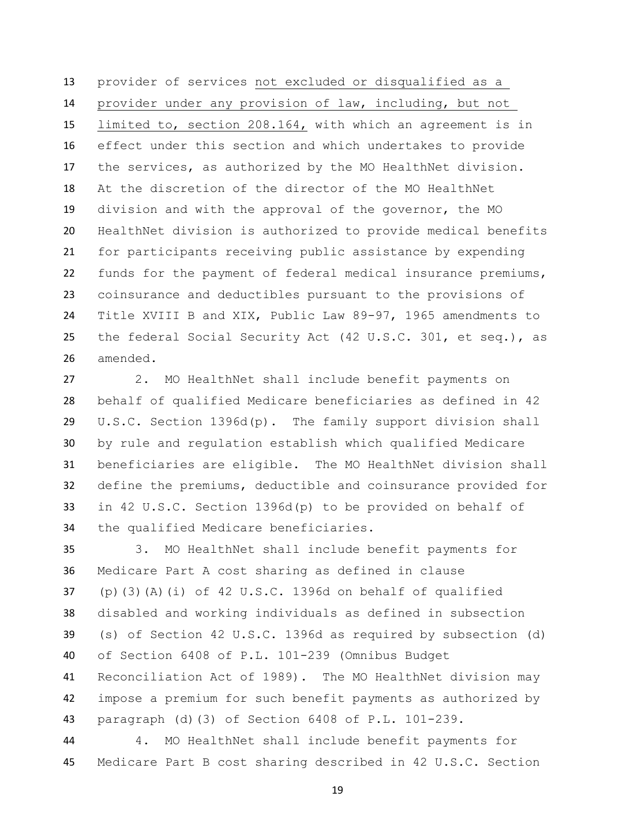provider of services not excluded or disqualified as a provider under any provision of law, including, but not limited to, section 208.164, with which an agreement is in effect under this section and which undertakes to provide the services, as authorized by the MO HealthNet division. At the discretion of the director of the MO HealthNet division and with the approval of the governor, the MO HealthNet division is authorized to provide medical benefits for participants receiving public assistance by expending funds for the payment of federal medical insurance premiums, coinsurance and deductibles pursuant to the provisions of Title XVIII B and XIX, Public Law 89-97, 1965 amendments to the federal Social Security Act (42 U.S.C. 301, et seq.), as amended.

 2. MO HealthNet shall include benefit payments on behalf of qualified Medicare beneficiaries as defined in 42 U.S.C. Section 1396d(p). The family support division shall by rule and regulation establish which qualified Medicare beneficiaries are eligible. The MO HealthNet division shall define the premiums, deductible and coinsurance provided for in 42 U.S.C. Section 1396d(p) to be provided on behalf of the qualified Medicare beneficiaries.

 3. MO HealthNet shall include benefit payments for Medicare Part A cost sharing as defined in clause (p)(3)(A)(i) of 42 U.S.C. 1396d on behalf of qualified disabled and working individuals as defined in subsection (s) of Section 42 U.S.C. 1396d as required by subsection (d) of Section 6408 of P.L. 101-239 (Omnibus Budget Reconciliation Act of 1989). The MO HealthNet division may impose a premium for such benefit payments as authorized by paragraph (d)(3) of Section 6408 of P.L. 101-239.

 4. MO HealthNet shall include benefit payments for Medicare Part B cost sharing described in 42 U.S.C. Section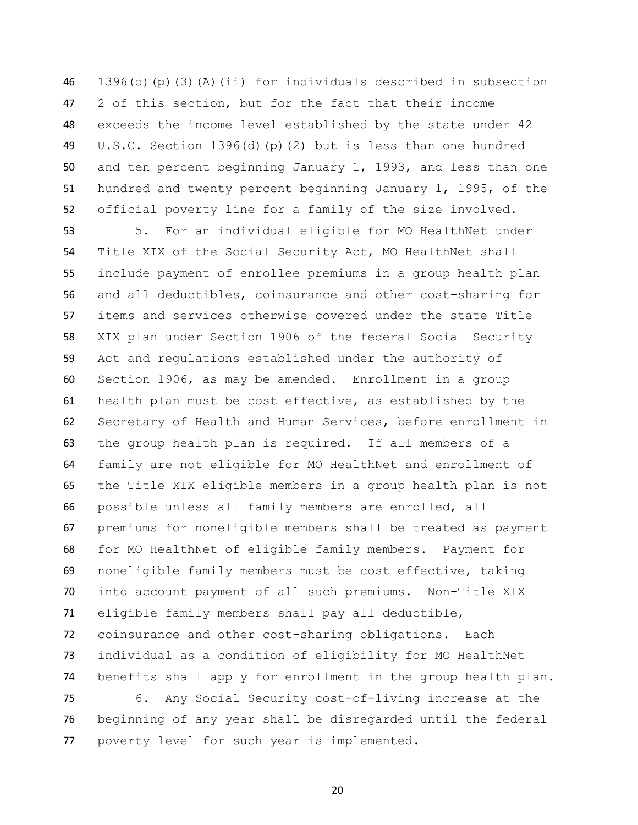1396(d)(p)(3)(A)(ii) for individuals described in subsection 2 of this section, but for the fact that their income exceeds the income level established by the state under 42 U.S.C. Section 1396(d)(p)(2) but is less than one hundred and ten percent beginning January 1, 1993, and less than one hundred and twenty percent beginning January 1, 1995, of the official poverty line for a family of the size involved.

 5. For an individual eligible for MO HealthNet under Title XIX of the Social Security Act, MO HealthNet shall include payment of enrollee premiums in a group health plan and all deductibles, coinsurance and other cost-sharing for items and services otherwise covered under the state Title XIX plan under Section 1906 of the federal Social Security Act and regulations established under the authority of Section 1906, as may be amended. Enrollment in a group health plan must be cost effective, as established by the Secretary of Health and Human Services, before enrollment in the group health plan is required. If all members of a family are not eligible for MO HealthNet and enrollment of the Title XIX eligible members in a group health plan is not possible unless all family members are enrolled, all premiums for noneligible members shall be treated as payment for MO HealthNet of eligible family members. Payment for noneligible family members must be cost effective, taking into account payment of all such premiums. Non-Title XIX eligible family members shall pay all deductible, coinsurance and other cost-sharing obligations. Each individual as a condition of eligibility for MO HealthNet benefits shall apply for enrollment in the group health plan.

 6. Any Social Security cost-of-living increase at the beginning of any year shall be disregarded until the federal poverty level for such year is implemented.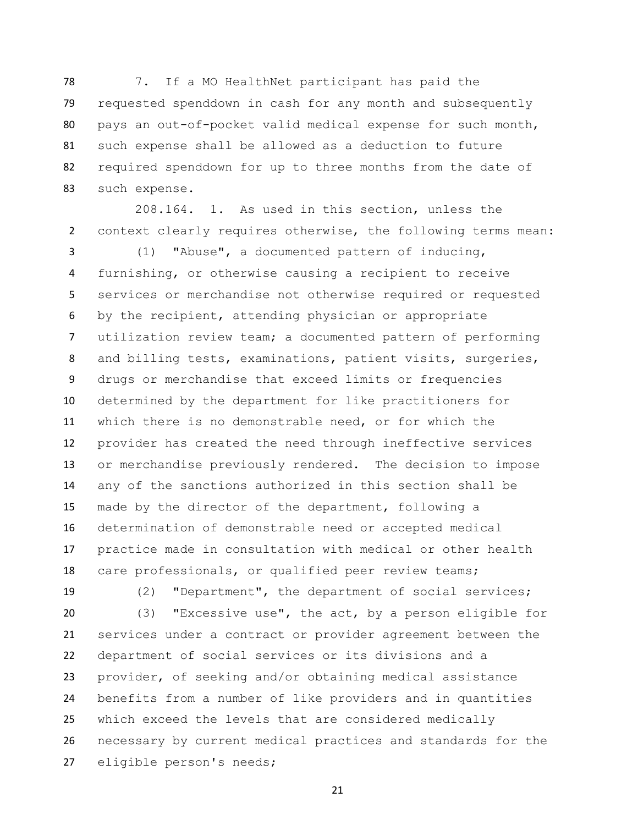7. If a MO HealthNet participant has paid the requested spenddown in cash for any month and subsequently pays an out-of-pocket valid medical expense for such month, such expense shall be allowed as a deduction to future required spenddown for up to three months from the date of such expense.

208.164. 1. As used in this section, unless the context clearly requires otherwise, the following terms mean:

 (1) "Abuse", a documented pattern of inducing, furnishing, or otherwise causing a recipient to receive services or merchandise not otherwise required or requested by the recipient, attending physician or appropriate utilization review team; a documented pattern of performing and billing tests, examinations, patient visits, surgeries, drugs or merchandise that exceed limits or frequencies determined by the department for like practitioners for which there is no demonstrable need, or for which the provider has created the need through ineffective services or merchandise previously rendered. The decision to impose any of the sanctions authorized in this section shall be made by the director of the department, following a determination of demonstrable need or accepted medical practice made in consultation with medical or other health care professionals, or qualified peer review teams;

(2) "Department", the department of social services;

 (3) "Excessive use", the act, by a person eligible for services under a contract or provider agreement between the department of social services or its divisions and a provider, of seeking and/or obtaining medical assistance benefits from a number of like providers and in quantities which exceed the levels that are considered medically necessary by current medical practices and standards for the eligible person's needs;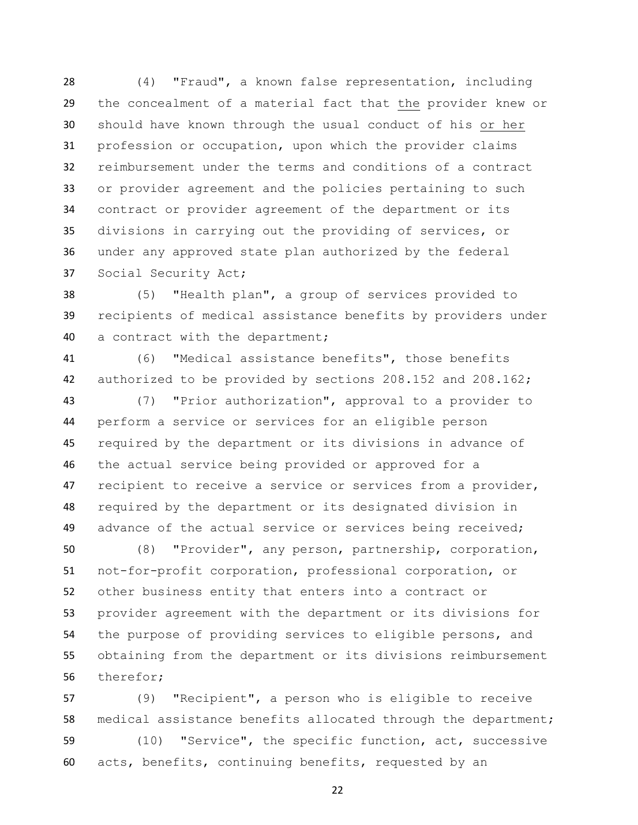(4) "Fraud", a known false representation, including the concealment of a material fact that the provider knew or should have known through the usual conduct of his or her profession or occupation, upon which the provider claims reimbursement under the terms and conditions of a contract or provider agreement and the policies pertaining to such contract or provider agreement of the department or its divisions in carrying out the providing of services, or under any approved state plan authorized by the federal Social Security Act;

 (5) "Health plan", a group of services provided to recipients of medical assistance benefits by providers under a contract with the department;

 (6) "Medical assistance benefits", those benefits authorized to be provided by sections 208.152 and 208.162;

 (7) "Prior authorization", approval to a provider to perform a service or services for an eligible person required by the department or its divisions in advance of the actual service being provided or approved for a 47 recipient to receive a service or services from a provider, required by the department or its designated division in advance of the actual service or services being received;

 (8) "Provider", any person, partnership, corporation, not-for-profit corporation, professional corporation, or other business entity that enters into a contract or provider agreement with the department or its divisions for the purpose of providing services to eligible persons, and obtaining from the department or its divisions reimbursement therefor;

 (9) "Recipient", a person who is eligible to receive medical assistance benefits allocated through the department;

 (10) "Service", the specific function, act, successive acts, benefits, continuing benefits, requested by an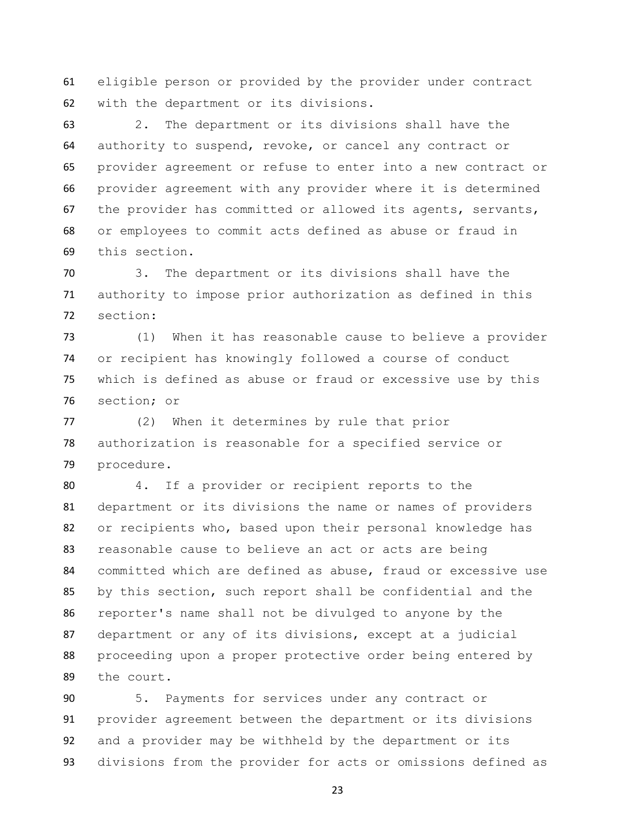eligible person or provided by the provider under contract with the department or its divisions.

 2. The department or its divisions shall have the authority to suspend, revoke, or cancel any contract or provider agreement or refuse to enter into a new contract or provider agreement with any provider where it is determined the provider has committed or allowed its agents, servants, or employees to commit acts defined as abuse or fraud in this section.

 3. The department or its divisions shall have the authority to impose prior authorization as defined in this section:

 (1) When it has reasonable cause to believe a provider or recipient has knowingly followed a course of conduct which is defined as abuse or fraud or excessive use by this section; or

 (2) When it determines by rule that prior authorization is reasonable for a specified service or procedure.

 4. If a provider or recipient reports to the department or its divisions the name or names of providers or recipients who, based upon their personal knowledge has reasonable cause to believe an act or acts are being committed which are defined as abuse, fraud or excessive use by this section, such report shall be confidential and the reporter's name shall not be divulged to anyone by the department or any of its divisions, except at a judicial proceeding upon a proper protective order being entered by the court.

 5. Payments for services under any contract or provider agreement between the department or its divisions and a provider may be withheld by the department or its divisions from the provider for acts or omissions defined as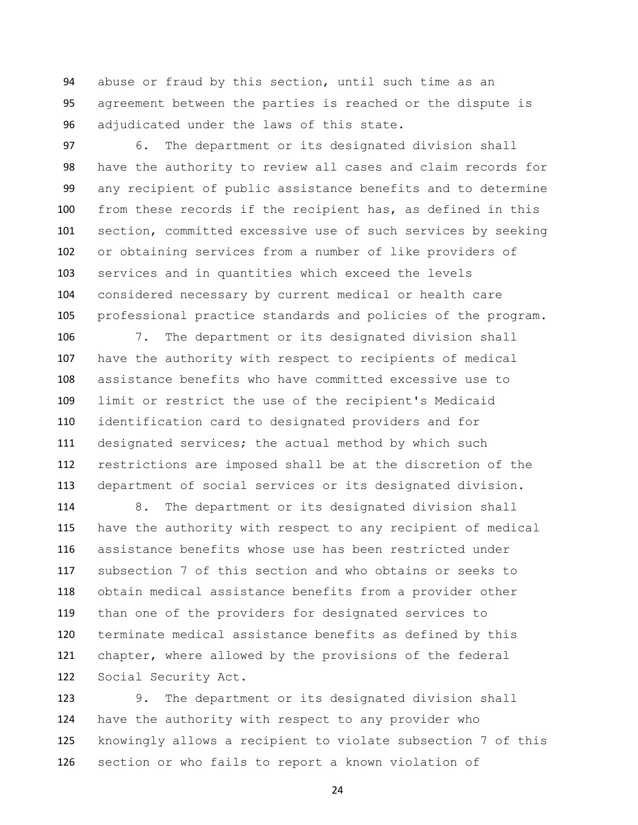abuse or fraud by this section, until such time as an agreement between the parties is reached or the dispute is adjudicated under the laws of this state.

 6. The department or its designated division shall have the authority to review all cases and claim records for any recipient of public assistance benefits and to determine from these records if the recipient has, as defined in this section, committed excessive use of such services by seeking or obtaining services from a number of like providers of services and in quantities which exceed the levels considered necessary by current medical or health care professional practice standards and policies of the program.

 7. The department or its designated division shall have the authority with respect to recipients of medical assistance benefits who have committed excessive use to limit or restrict the use of the recipient's Medicaid identification card to designated providers and for 111 designated services; the actual method by which such restrictions are imposed shall be at the discretion of the department of social services or its designated division.

 8. The department or its designated division shall have the authority with respect to any recipient of medical assistance benefits whose use has been restricted under subsection 7 of this section and who obtains or seeks to obtain medical assistance benefits from a provider other than one of the providers for designated services to terminate medical assistance benefits as defined by this chapter, where allowed by the provisions of the federal Social Security Act.

 9. The department or its designated division shall have the authority with respect to any provider who knowingly allows a recipient to violate subsection 7 of this section or who fails to report a known violation of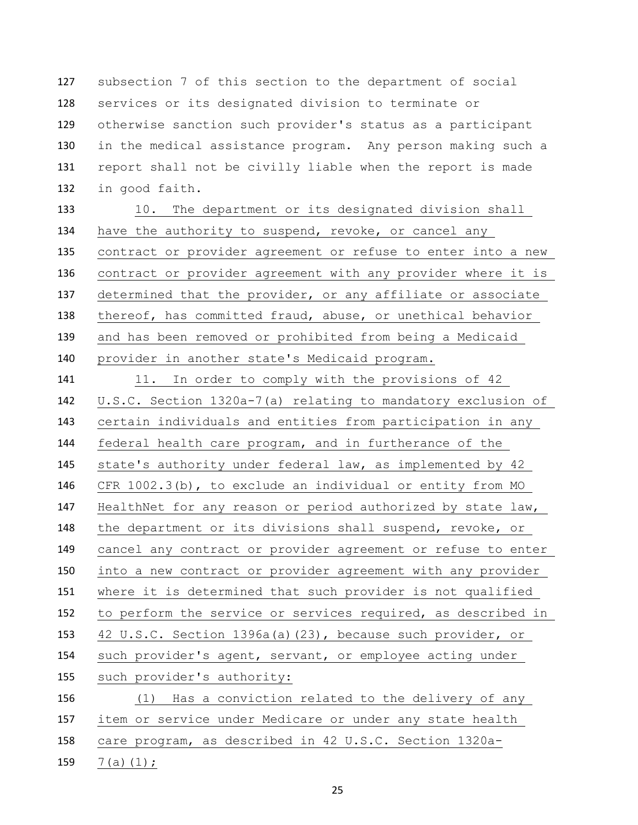subsection 7 of this section to the department of social services or its designated division to terminate or otherwise sanction such provider's status as a participant in the medical assistance program. Any person making such a 131 report shall not be civilly liable when the report is made in good faith.

 10. The department or its designated division shall 134 have the authority to suspend, revoke, or cancel any contract or provider agreement or refuse to enter into a new contract or provider agreement with any provider where it is determined that the provider, or any affiliate or associate thereof, has committed fraud, abuse, or unethical behavior and has been removed or prohibited from being a Medicaid provider in another state's Medicaid program.

141 11. In order to comply with the provisions of 42 U.S.C. Section 1320a-7(a) relating to mandatory exclusion of certain individuals and entities from participation in any federal health care program, and in furtherance of the state's authority under federal law, as implemented by 42 CFR 1002.3(b), to exclude an individual or entity from MO 147 HealthNet for any reason or period authorized by state law, the department or its divisions shall suspend, revoke, or cancel any contract or provider agreement or refuse to enter into a new contract or provider agreement with any provider where it is determined that such provider is not qualified to perform the service or services required, as described in 42 U.S.C. Section 1396a(a)(23), because such provider, or such provider's agent, servant, or employee acting under such provider's authority: (1) Has a conviction related to the delivery of any item or service under Medicare or under any state health care program, as described in 42 U.S.C. Section 1320a-

159  $7(a)(1)$ ;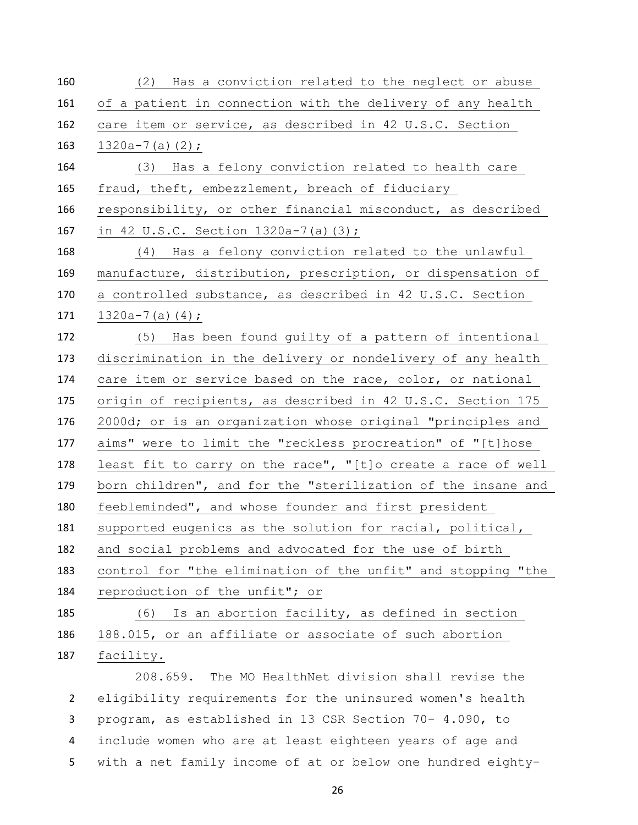| 160 | (2) Has a conviction related to the neglect or abuse         |
|-----|--------------------------------------------------------------|
| 161 | of a patient in connection with the delivery of any health   |
| 162 | care item or service, as described in 42 U.S.C. Section      |
| 163 | $1320a - 7(a)(2)$ ;                                          |
| 164 | (3) Has a felony conviction related to health care           |
| 165 | fraud, theft, embezzlement, breach of fiduciary              |
| 166 | responsibility, or other financial misconduct, as described  |
| 167 | in 42 U.S.C. Section $1320a-7(a)(3)$ ;                       |
| 168 | (4) Has a felony conviction related to the unlawful          |
| 169 | manufacture, distribution, prescription, or dispensation of  |
| 170 | a controlled substance, as described in 42 U.S.C. Section    |
| 171 | $1320a-7(a) (4);$                                            |
| 172 | (5) Has been found guilty of a pattern of intentional        |
| 173 | discrimination in the delivery or nondelivery of any health  |
| 174 | care item or service based on the race, color, or national   |
| 175 | origin of recipients, as described in 42 U.S.C. Section 175  |
| 176 | 2000d; or is an organization whose original "principles and  |
| 177 | aims" were to limit the "reckless procreation" of "[t]hose   |
| 178 | least fit to carry on the race", "[t]o create a race of well |
| 179 | born children", and for the "sterilization of the insane and |
| 180 | feebleminded", and whose founder and first president         |
| 181 | supported eugenics as the solution for racial, political,    |
| 182 | and social problems and advocated for the use of birth       |
| 183 | control for "the elimination of the unfit" and stopping "the |
| 184 | reproduction of the unfit"; or                               |
| 185 | Is an abortion facility, as defined in section<br>(6)        |
| 186 | 188.015, or an affiliate or associate of such abortion       |
| 187 | facility.                                                    |
|     | 208.659. The MO HealthNet division shall revise the          |
|     |                                                              |

 eligibility requirements for the uninsured women's health program, as established in 13 CSR Section 70- 4.090, to include women who are at least eighteen years of age and with a net family income of at or below one hundred eighty-